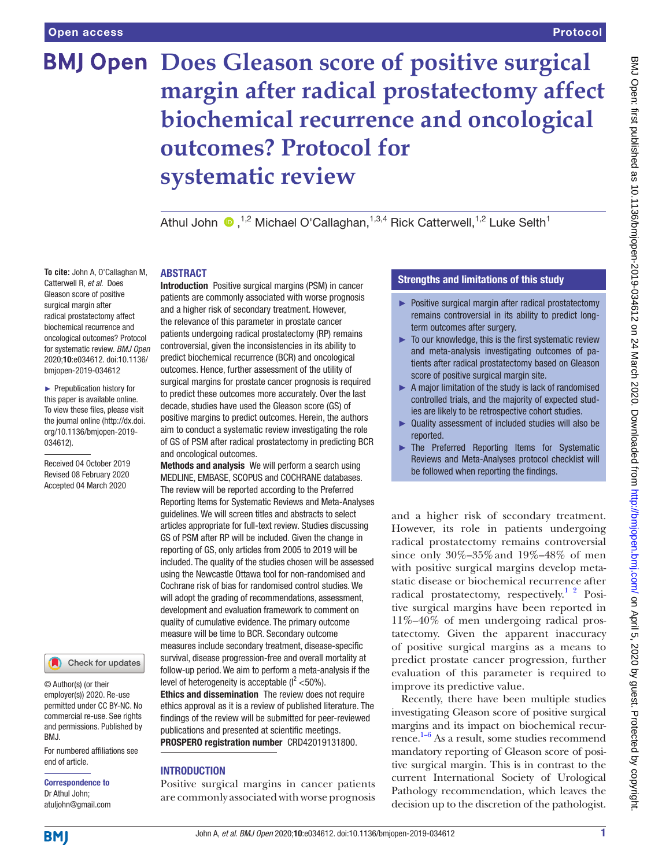# **BMJ Open Does Gleason score of positive surgical margin after radical prostatectomy affect biochemical recurrence and oncological outcomes? Protocol for systematic review**

Athul John  $\bullet$ ,<sup>1,2</sup> Michael O'Callaghan,<sup>1,3,4</sup> Rick Catterwell,<sup>1,2</sup> Luke Selth<sup>1</sup>

## **ABSTRACT**

**To cite:** John A, O'Callaghan M, Catterwell R, *et al*. Does Gleason score of positive surgical margin after radical prostatectomy affect biochemical recurrence and oncological outcomes? Protocol for systematic review. *BMJ Open* 2020;10:e034612. doi:10.1136/ bmjopen-2019-034612

► Prepublication history for this paper is available online. To view these files, please visit the journal online (http://dx.doi. org/10.1136/bmjopen-2019- 034612).

Received 04 October 2019 Revised 08 February 2020 Accepted 04 March 2020



© Author(s) (or their employer(s)) 2020. Re-use permitted under CC BY-NC. No commercial re-use. See rights and permissions. Published by BMJ.

For numbered affiliations see end of article.

Correspondence to Dr Athul John; atuljohn@gmail.com Introduction Positive surgical margins (PSM) in cancer patients are commonly associated with worse prognosis and a higher risk of secondary treatment. However, the relevance of this parameter in prostate cancer patients undergoing radical prostatectomy (RP) remains controversial, given the inconsistencies in its ability to predict biochemical recurrence (BCR) and oncological outcomes. Hence, further assessment of the utility of surgical margins for prostate cancer prognosis is required to predict these outcomes more accurately. Over the last decade, studies have used the Gleason score (GS) of positive margins to predict outcomes. Herein, the authors aim to conduct a systematic review investigating the role of GS of PSM after radical prostatectomy in predicting BCR and oncological outcomes.

Methods and analysis We will perform a search using MEDLINE, EMBASE, SCOPUS and COCHRANE databases. The review will be reported according to the Preferred Reporting Items for Systematic Reviews and Meta-Analyses guidelines. We will screen titles and abstracts to select articles appropriate for full-text review. Studies discussing GS of PSM after RP will be included. Given the change in reporting of GS, only articles from 2005 to 2019 will be included. The quality of the studies chosen will be assessed using the Newcastle Ottawa tool for non-randomised and Cochrane risk of bias for randomised control studies. We will adopt the grading of recommendations, assessment, development and evaluation framework to comment on quality of cumulative evidence. The primary outcome measure will be time to BCR. Secondary outcome measures include secondary treatment, disease-specific survival, disease progression-free and overall mortality at follow-up period. We aim to perform a meta-analysis if the level of heterogeneity is acceptable  $(l<sup>2</sup> < 50$ %). Ethics and dissemination The review does not require ethics approval as it is a review of published literature. The findings of the review will be submitted for peer-reviewed publications and presented at scientific meetings. PROSPERO registration number CRD42019131800.

# **INTRODUCTION**

Positive surgical margins in cancer patients are commonly associated with worse prognosis

# Strengths and limitations of this study

- ► Positive surgical margin after radical prostatectomy remains controversial in its ability to predict longterm outcomes after surgery.
- ► To our knowledge, this is the first systematic review and meta-analysis investigating outcomes of patients after radical prostatectomy based on Gleason score of positive surgical margin site.
- ► A major limitation of the study is lack of randomised controlled trials, and the majority of expected studies are likely to be retrospective cohort studies.
- ► Quality assessment of included studies will also be reported.
- ► The Preferred Reporting Items for Systematic Reviews and Meta-Analyses protocol checklist will be followed when reporting the findings.

and a higher risk of secondary treatment. However, its role in patients undergoing radical prostatectomy remains controversial since only 30%–35%and 19%–48% of men with positive surgical margins develop metastatic disease or biochemical recurrence after radical prostatectomy, respectively.<sup>1</sup> <sup>2</sup> Positive surgical margins have been reported in 11%–40% of men undergoing radical prostatectomy. Given the apparent inaccuracy of positive surgical margins as a means to predict prostate cancer progression, further evaluation of this parameter is required to improve its predictive value.

Recently, there have been multiple studies investigating Gleason score of positive surgical margins and its impact on biochemical recurrence. [1–6](#page-3-0) As a result, some studies recommend mandatory reporting of Gleason score of positive surgical margin. This is in contrast to the current International Society of Urological Pathology recommendation, which leaves the decision up to the discretion of the pathologist.

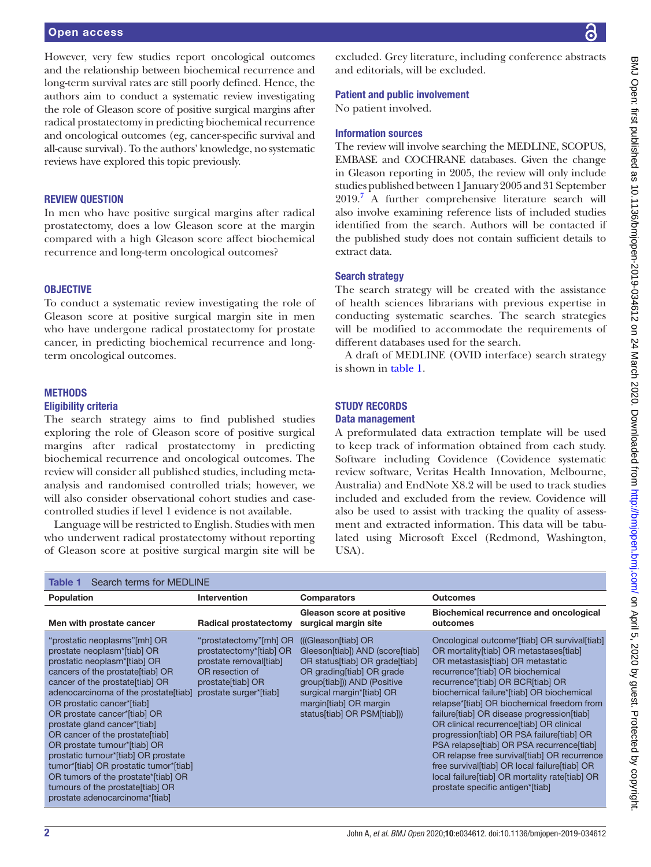## Open access

However, very few studies report oncological outcomes and the relationship between biochemical recurrence and long-term survival rates are still poorly defined. Hence, the authors aim to conduct a systematic review investigating the role of Gleason score of positive surgical margins after radical prostatectomy in predicting biochemical recurrence and oncological outcomes (eg, cancer-specific survival and all-cause survival). To the authors' knowledge, no systematic reviews have explored this topic previously.

#### Review question

In men who have positive surgical margins after radical prostatectomy, does a low Gleason score at the margin compared with a high Gleason score affect biochemical recurrence and long-term oncological outcomes?

# **OBJECTIVE**

To conduct a systematic review investigating the role of Gleason score at positive surgical margin site in men who have undergone radical prostatectomy for prostate cancer, in predicting biochemical recurrence and longterm oncological outcomes.

# **METHODS**

#### Eligibility criteria

The search strategy aims to find published studies exploring the role of Gleason score of positive surgical margins after radical prostatectomy in predicting biochemical recurrence and oncological outcomes. The review will consider all published studies, including metaanalysis and randomised controlled trials; however, we will also consider observational cohort studies and casecontrolled studies if level 1 evidence is not available.

Language will be restricted to English. Studies with men who underwent radical prostatectomy without reporting of Gleason score at positive surgical margin site will be

excluded. Grey literature, including conference abstracts and editorials, will be excluded.

#### Patient and public involvement

No patient involved.

# Information sources

The review will involve searching the MEDLINE, SCOPUS, EMBASE and COCHRANE databases. Given the change in Gleason reporting in 2005, the review will only include studies published between 1 January 2005 and 31 September 2019.<sup>[7](#page-3-1)</sup> A further comprehensive literature search will also involve examining reference lists of included studies identified from the search. Authors will be contacted if the published study does not contain sufficient details to extract data.

## Search strategy

The search strategy will be created with the assistance of health sciences librarians with previous expertise in conducting systematic searches. The search strategies will be modified to accommodate the requirements of different databases used for the search.

A draft of MEDLINE (OVID interface) search strategy is shown in [table](#page-1-0) 1.

#### **STUDY RECORDS**

#### Data management

A preformulated data extraction template will be used to keep track of information obtained from each study. Software including Covidence (Covidence systematic review software, Veritas Health Innovation, Melbourne, Australia) and EndNote X8.2 will be used to track studies included and excluded from the review. Covidence will also be used to assist with tracking the quality of assessment and extracted information. This data will be tabulated using Microsoft Excel (Redmond, Washington, USA).

<span id="page-1-0"></span>

| Search terms for MEDLINE<br>Table 1                                                                                                                                                                                                                                                                                                                                                                                                                                                                                                                                            |                                                                                                                                               |                                                                                                                                                                                                                                           |                                                                                                                                                                                                                                                                                                                                                                                                                                                                                                                                                                                                                                                                                |
|--------------------------------------------------------------------------------------------------------------------------------------------------------------------------------------------------------------------------------------------------------------------------------------------------------------------------------------------------------------------------------------------------------------------------------------------------------------------------------------------------------------------------------------------------------------------------------|-----------------------------------------------------------------------------------------------------------------------------------------------|-------------------------------------------------------------------------------------------------------------------------------------------------------------------------------------------------------------------------------------------|--------------------------------------------------------------------------------------------------------------------------------------------------------------------------------------------------------------------------------------------------------------------------------------------------------------------------------------------------------------------------------------------------------------------------------------------------------------------------------------------------------------------------------------------------------------------------------------------------------------------------------------------------------------------------------|
| Population                                                                                                                                                                                                                                                                                                                                                                                                                                                                                                                                                                     | <b>Intervention</b>                                                                                                                           | <b>Comparators</b>                                                                                                                                                                                                                        | <b>Outcomes</b>                                                                                                                                                                                                                                                                                                                                                                                                                                                                                                                                                                                                                                                                |
| Men with prostate cancer                                                                                                                                                                                                                                                                                                                                                                                                                                                                                                                                                       | <b>Radical prostatectomy</b>                                                                                                                  | Gleason score at positive<br>surgical margin site                                                                                                                                                                                         | Biochemical recurrence and oncological<br>outcomes                                                                                                                                                                                                                                                                                                                                                                                                                                                                                                                                                                                                                             |
| "prostatic neoplasms"[mh] OR<br>prostate neoplasm*[tiab] OR<br>prostatic neoplasm*[tiab] OR<br>cancers of the prostate [tiab] OR<br>cancer of the prostate [tiab] OR<br>adenocarcinoma of the prostate [tiab]<br>OR prostatic cancer*[tiab]<br>OR prostate cancer*[tiab] OR<br>prostate gland cancer*[tiab]<br>OR cancer of the prostate [tiab]<br>OR prostate tumour*[tiab] OR<br>prostatic tumour*[tiab] OR prostate<br>tumor*[tiab] OR prostatic tumor*[tiab]<br>OR tumors of the prostate*[tiab] OR<br>tumours of the prostate [tiab] OR<br>prostate adenocarcinoma*[tiab] | "prostatectomy"[mh] OR<br>prostatectomy*[tiab] OR<br>prostate removal[tiab]<br>OR resection of<br>prostate[tiab] OR<br>prostate surger*[tiab] | ((Gleason[tiab] OR<br>Gleeson[tiab]) AND (score[tiab]<br>OR status[tiab] OR grade[tiab]<br>OR grading[tiab] OR grade<br>group[tiab])) AND (Positive<br>surgical margin*[tiab] OR<br>margin[tiab] OR margin<br>status[tiab] OR PSM[tiab])) | Oncological outcome*[tiab] OR survival[tiab]<br>OR mortality[tiab] OR metastases[tiab]<br>OR metastasis[tiab] OR metastatic<br>recurrence*[tiab] OR biochemical<br>recurrence*[tiab] OR BCR[tiab] OR<br>biochemical failure*[tiab] OR biochemical<br>relapse*[tiab] OR biochemical freedom from<br>failure[tiab] OR disease progression[tiab]<br>OR clinical recurrence [tiab] OR clinical<br>progression[tiab] OR PSA failure[tiab] OR<br>PSA relapse[tiab] OR PSA recurrence[tiab]<br>OR relapse free survival [tiab] OR recurrence<br>free survival [tiab] OR local failure [tiab] OR<br>local failure[tiab] OR mortality rate[tiab] OR<br>prostate specific antigen*[tiab] |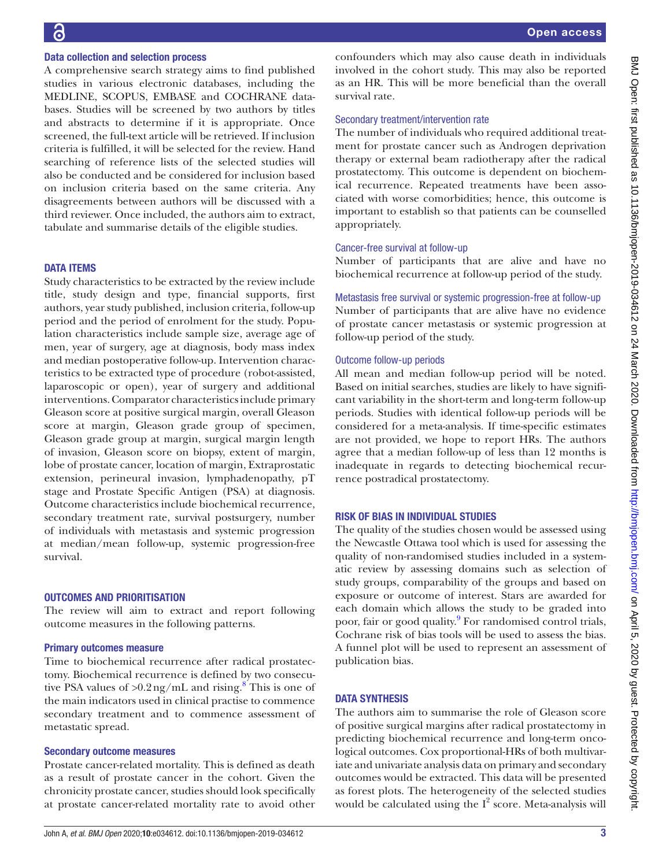# Data collection and selection process

A comprehensive search strategy aims to find published studies in various electronic databases, including the MEDLINE, SCOPUS, EMBASE and COCHRANE databases. Studies will be screened by two authors by titles and abstracts to determine if it is appropriate. Once screened, the full-text article will be retrieved. If inclusion criteria is fulfilled, it will be selected for the review. Hand searching of reference lists of the selected studies will also be conducted and be considered for inclusion based on inclusion criteria based on the same criteria. Any disagreements between authors will be discussed with a third reviewer. Once included, the authors aim to extract, tabulate and summarise details of the eligible studies.

## **DATA ITEMS**

Study characteristics to be extracted by the review include title, study design and type, financial supports, first authors, year study published, inclusion criteria, follow-up period and the period of enrolment for the study. Population characteristics include sample size, average age of men, year of surgery, age at diagnosis, body mass index and median postoperative follow-up. Intervention characteristics to be extracted type of procedure (robot-assisted, laparoscopic or open), year of surgery and additional interventions. Comparator characteristics include primary Gleason score at positive surgical margin, overall Gleason score at margin, Gleason grade group of specimen, Gleason grade group at margin, surgical margin length of invasion, Gleason score on biopsy, extent of margin, lobe of prostate cancer, location of margin, Extraprostatic extension, perineural invasion, lymphadenopathy, pT stage and Prostate Specific Antigen (PSA) at diagnosis. Outcome characteristics include biochemical recurrence, secondary treatment rate, survival postsurgery, number of individuals with metastasis and systemic progression at median/mean follow-up, systemic progression-free survival.

# Outcomes and prioritisation

The review will aim to extract and report following outcome measures in the following patterns.

#### Primary outcomes measure

Time to biochemical recurrence after radical prostatectomy. Biochemical recurrence is defined by two consecutive PSA values of  $>0.2$  ng/mL and rising.<sup>[8](#page-3-2)</sup> This is one of the main indicators used in clinical practise to commence secondary treatment and to commence assessment of metastatic spread.

#### Secondary outcome measures

Prostate cancer-related mortality. This is defined as death as a result of prostate cancer in the cohort. Given the chronicity prostate cancer, studies should look specifically at prostate cancer-related mortality rate to avoid other confounders which may also cause death in individuals involved in the cohort study. This may also be reported as an HR. This will be more beneficial than the overall survival rate.

#### Secondary treatment/intervention rate

The number of individuals who required additional treatment for prostate cancer such as Androgen deprivation therapy or external beam radiotherapy after the radical prostatectomy. This outcome is dependent on biochemical recurrence. Repeated treatments have been associated with worse comorbidities; hence, this outcome is important to establish so that patients can be counselled appropriately.

## Cancer-free survival at follow-up

Number of participants that are alive and have no biochemical recurrence at follow-up period of the study.

Metastasis free survival or systemic progression-free at follow-up

Number of participants that are alive have no evidence of prostate cancer metastasis or systemic progression at follow-up period of the study.

## Outcome follow-up periods

All mean and median follow-up period will be noted. Based on initial searches, studies are likely to have significant variability in the short-term and long-term follow-up periods. Studies with identical follow-up periods will be considered for a meta-analysis. If time-specific estimates are not provided, we hope to report HRs. The authors agree that a median follow-up of less than 12 months is inadequate in regards to detecting biochemical recurrence postradical prostatectomy.

#### Risk of bias in individual studies

The quality of the studies chosen would be assessed using the Newcastle Ottawa tool which is used for assessing the quality of non-randomised studies included in a systematic review by assessing domains such as selection of study groups, comparability of the groups and based on exposure or outcome of interest. Stars are awarded for each domain which allows the study to be graded into poor, fair or good quality.<sup>[9](#page-3-3)</sup> For randomised control trials, Cochrane risk of bias tools will be used to assess the bias. A funnel plot will be used to represent an assessment of publication bias.

## **DATA SYNTHESIS**

The authors aim to summarise the role of Gleason score of positive surgical margins after radical prostatectomy in predicting biochemical recurrence and long-term oncological outcomes. Cox proportional-HRs of both multivariate and univariate analysis data on primary and secondary outcomes would be extracted. This data will be presented as forest plots. The heterogeneity of the selected studies would be calculated using the  $I^2$  score. Meta-analysis will